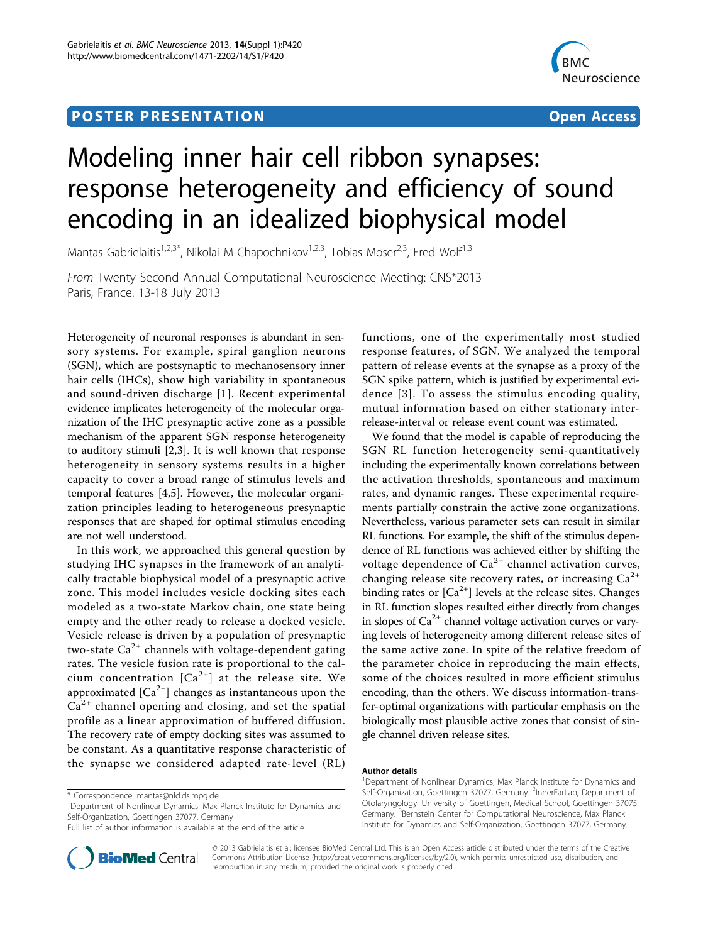## **POSTER PRESENTATION CONSUMING THE SERVICE SERVICE SERVICES**



# Modeling inner hair cell ribbon synapses: response heterogeneity and efficiency of sound encoding in an idealized biophysical model

Mantas Gabrielaitis<sup>1,2,3\*</sup>, Nikolai M Chapochnikov<sup>1,2,3</sup>, Tobias Moser<sup>2,3</sup>, Fred Wolf<sup>1,3</sup>

From Twenty Second Annual Computational Neuroscience Meeting: CNS\*2013 Paris, France. 13-18 July 2013

Heterogeneity of neuronal responses is abundant in sensory systems. For example, spiral ganglion neurons (SGN), which are postsynaptic to mechanosensory inner hair cells (IHCs), show high variability in spontaneous and sound-driven discharge [[1](#page-1-0)]. Recent experimental evidence implicates heterogeneity of the molecular organization of the IHC presynaptic active zone as a possible mechanism of the apparent SGN response heterogeneity to auditory stimuli [[2,3](#page-1-0)]. It is well known that response heterogeneity in sensory systems results in a higher capacity to cover a broad range of stimulus levels and temporal features [\[4](#page-1-0),[5](#page-1-0)]. However, the molecular organization principles leading to heterogeneous presynaptic responses that are shaped for optimal stimulus encoding are not well understood.

In this work, we approached this general question by studying IHC synapses in the framework of an analytically tractable biophysical model of a presynaptic active zone. This model includes vesicle docking sites each modeled as a two-state Markov chain, one state being empty and the other ready to release a docked vesicle. Vesicle release is driven by a population of presynaptic two-state  $Ca^{2+}$  channels with voltage-dependent gating rates. The vesicle fusion rate is proportional to the calcium concentration  $[Ca^{2+}]$  at the release site. We approximated  $[Ca<sup>2+</sup>]$  changes as instantaneous upon the  $Ca<sup>2+</sup>$  channel opening and closing, and set the spatial profile as a linear approximation of buffered diffusion. The recovery rate of empty docking sites was assumed to be constant. As a quantitative response characteristic of the synapse we considered adapted rate-level (RL)



We found that the model is capable of reproducing the SGN RL function heterogeneity semi-quantitatively including the experimentally known correlations between the activation thresholds, spontaneous and maximum rates, and dynamic ranges. These experimental requirements partially constrain the active zone organizations. Nevertheless, various parameter sets can result in similar RL functions. For example, the shift of the stimulus dependence of RL functions was achieved either by shifting the voltage dependence of  $Ca^{2+}$  channel activation curves, changing release site recovery rates, or increasing  $Ca^{2+}$ binding rates or  $[Ca^{2+}]$  levels at the release sites. Changes in RL function slopes resulted either directly from changes in slopes of  $Ca^{2+}$  channel voltage activation curves or varying levels of heterogeneity among different release sites of the same active zone. In spite of the relative freedom of the parameter choice in reproducing the main effects, some of the choices resulted in more efficient stimulus encoding, than the others. We discuss information-transfer-optimal organizations with particular emphasis on the biologically most plausible active zones that consist of single channel driven release sites.

#### Author details

<sup>1</sup>Department of Nonlinear Dynamics, Max Planck Institute for Dynamics and Self-Organization, Goettingen 37077, Germany. <sup>2</sup>InnerEarLab, Department of Otolaryngology, University of Goettingen, Medical School, Goettingen 37075, Germany. <sup>3</sup>Bernstein Center for Computational Neuroscience, Max Planck Institute for Dynamics and Self-Organization, Goettingen 37077, Germany.



© 2013 Gabrielaitis et al; licensee BioMed Central Ltd. This is an Open Access article distributed under the terms of the Creative Commons Attribution License [\(http://creativecommons.org/licenses/by/2.0](http://creativecommons.org/licenses/by/2.0)), which permits unrestricted use, distribution, and reproduction in any medium, provided the original work is properly cited.

<sup>\*</sup> Correspondence: [mantas@nld.ds.mpg.de](mailto:mantas@nld.ds.mpg.de)

<sup>&</sup>lt;sup>1</sup>Department of Nonlinear Dynamics, Max Planck Institute for Dynamics and Self-Organization, Goettingen 37077, Germany

Full list of author information is available at the end of the article